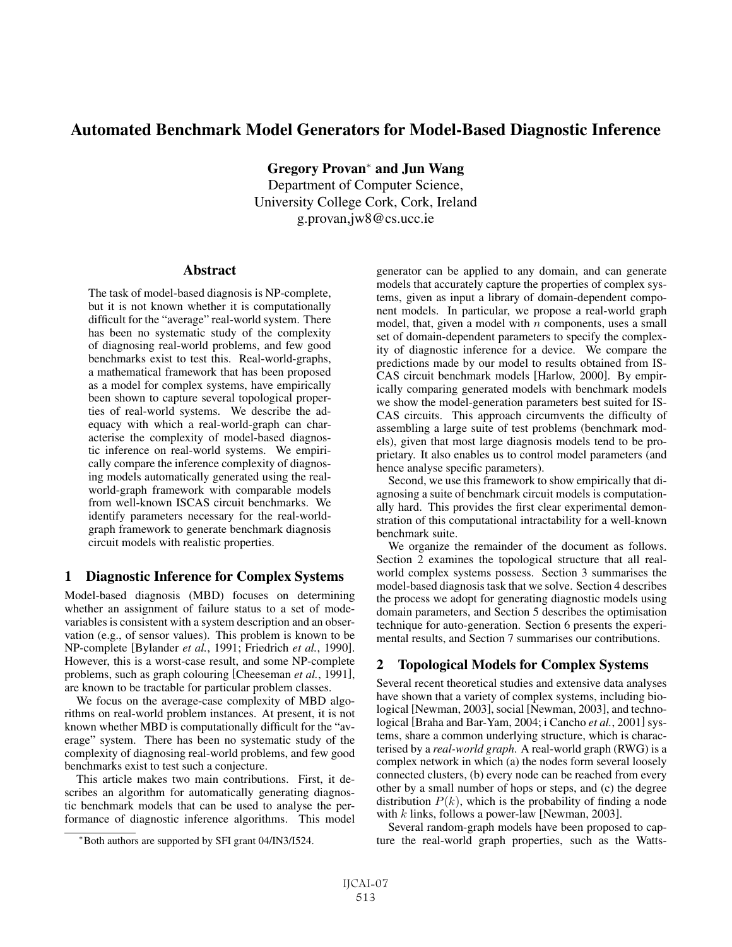# **Automated Benchmark Model Generators for Model-Based Diagnostic Inference**

**Gregory Provan**<sup>∗</sup> **and Jun Wang**

Department of Computer Science, University College Cork, Cork, Ireland g.provan,jw8@cs.ucc.ie

### **Abstract**

The task of model-based diagnosis is NP-complete, but it is not known whether it is computationally difficult for the "average" real-world system. There has been no systematic study of the complexity of diagnosing real-world problems, and few good benchmarks exist to test this. Real-world-graphs, a mathematical framework that has been proposed as a model for complex systems, have empirically been shown to capture several topological properties of real-world systems. We describe the adequacy with which a real-world-graph can characterise the complexity of model-based diagnostic inference on real-world systems. We empirically compare the inference complexity of diagnosing models automatically generated using the realworld-graph framework with comparable models from well-known ISCAS circuit benchmarks. We identify parameters necessary for the real-worldgraph framework to generate benchmark diagnosis circuit models with realistic properties.

# **1 Diagnostic Inference for Complex Systems**

Model-based diagnosis (MBD) focuses on determining whether an assignment of failure status to a set of modevariables is consistent with a system description and an observation (e.g., of sensor values). This problem is known to be NP-complete [Bylander *et al.*, 1991; Friedrich *et al.*, 1990]. However, this is a worst-case result, and some NP-complete problems, such as graph colouring [Cheeseman *et al.*, 1991], are known to be tractable for particular problem classes.

We focus on the average-case complexity of MBD algorithms on real-world problem instances. At present, it is not known whether MBD is computationally difficult for the "average" system. There has been no systematic study of the complexity of diagnosing real-world problems, and few good benchmarks exist to test such a conjecture.

This article makes two main contributions. First, it describes an algorithm for automatically generating diagnostic benchmark models that can be used to analyse the performance of diagnostic inference algorithms. This model generator can be applied to any domain, and can generate models that accurately capture the properties of complex systems, given as input a library of domain-dependent component models. In particular, we propose a real-world graph model, that, given a model with  $n$  components, uses a small set of domain-dependent parameters to specify the complexity of diagnostic inference for a device. We compare the predictions made by our model to results obtained from IS-CAS circuit benchmark models [Harlow, 2000]. By empirically comparing generated models with benchmark models we show the model-generation parameters best suited for IS-CAS circuits. This approach circumvents the difficulty of assembling a large suite of test problems (benchmark models), given that most large diagnosis models tend to be proprietary. It also enables us to control model parameters (and hence analyse specific parameters).

Second, we use this framework to show empirically that diagnosing a suite of benchmark circuit models is computationally hard. This provides the first clear experimental demonstration of this computational intractability for a well-known benchmark suite.

We organize the remainder of the document as follows. Section 2 examines the topological structure that all realworld complex systems possess. Section 3 summarises the model-based diagnosis task that we solve. Section 4 describes the process we adopt for generating diagnostic models using domain parameters, and Section 5 describes the optimisation technique for auto-generation. Section 6 presents the experimental results, and Section 7 summarises our contributions.

# **2 Topological Models for Complex Systems**

Several recent theoretical studies and extensive data analyses have shown that a variety of complex systems, including biological [Newman, 2003], social [Newman, 2003], and technological [Braha and Bar-Yam, 2004; i Cancho *et al.*, 2001] systems, share a common underlying structure, which is characterised by a *real-world graph*. A real-world graph (RWG) is a complex network in which (a) the nodes form several loosely connected clusters, (b) every node can be reached from every other by a small number of hops or steps, and (c) the degree distribution  $P(k)$ , which is the probability of finding a node with  $k$  links, follows a power-law [Newman, 2003].

Several random-graph models have been proposed to capture the real-world graph properties, such as the Watts-

<sup>∗</sup>Both authors are supported by SFI grant 04/IN3/I524.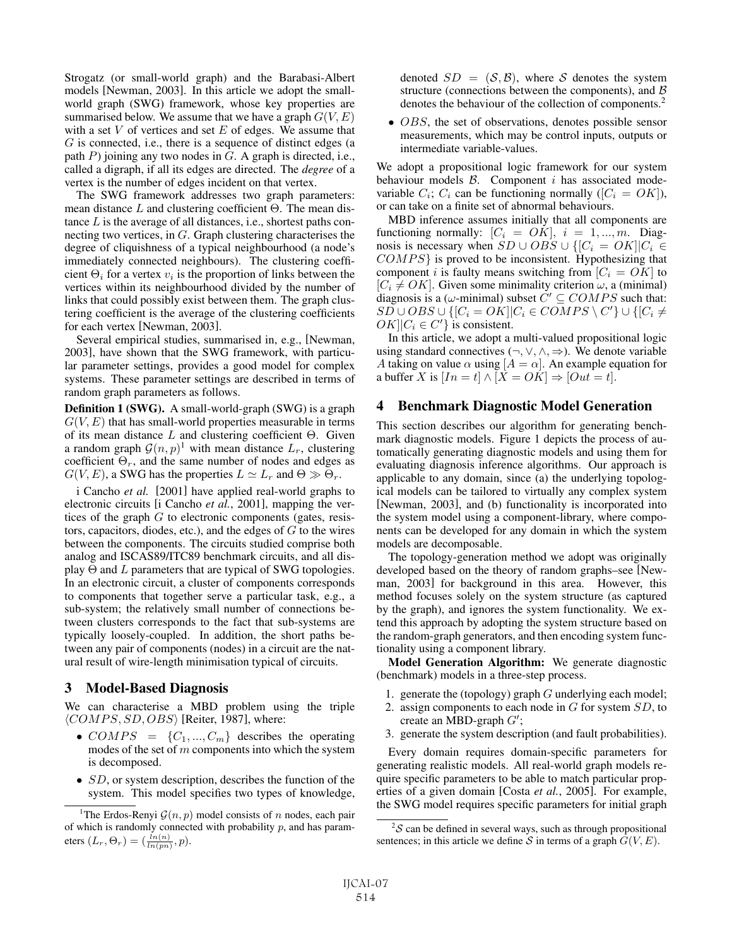Strogatz (or small-world graph) and the Barabasi-Albert models [Newman, 2003]. In this article we adopt the smallworld graph (SWG) framework, whose key properties are summarised below. We assume that we have a graph  $G(V, E)$ with a set  $V$  of vertices and set  $E$  of edges. We assume that G is connected, i.e., there is a sequence of distinct edges (a path  $P$ ) joining any two nodes in  $G$ . A graph is directed, i.e., called a digraph, if all its edges are directed. The *degree* of a vertex is the number of edges incident on that vertex.

The SWG framework addresses two graph parameters: mean distance  $L$  and clustering coefficient  $\Theta$ . The mean distance  $L$  is the average of all distances, i.e., shortest paths connecting two vertices, in G. Graph clustering characterises the degree of cliquishness of a typical neighbourhood (a node's immediately connected neighbours). The clustering coefficient  $\Theta_i$  for a vertex  $v_i$  is the proportion of links between the vertices within its neighbourhood divided by the number of links that could possibly exist between them. The graph clustering coefficient is the average of the clustering coefficients for each vertex [Newman, 2003].

Several empirical studies, summarised in, e.g., [Newman, 2003], have shown that the SWG framework, with particular parameter settings, provides a good model for complex systems. These parameter settings are described in terms of random graph parameters as follows.

**Definition 1 (SWG).** A small-world-graph (SWG) is a graph  $G(V, E)$  that has small-world properties measurable in terms of its mean distance  $L$  and clustering coefficient  $\Theta$ . Given a random graph  $\mathcal{G}(n, p)^1$  with mean distance  $L_r$ , clustering coefficient  $\Theta_r$ , and the same number of nodes and edges as  $G(V, E)$ , a SWG has the properties  $L \simeq L_r$  and  $\Theta \gg \Theta_r$ .

i Cancho *et al.* [2001] have applied real-world graphs to electronic circuits [i Cancho *et al.*, 2001], mapping the vertices of the graph  $G$  to electronic components (gates, resistors, capacitors, diodes, etc.), and the edges of  $G$  to the wires between the components. The circuits studied comprise both analog and ISCAS89/ITC89 benchmark circuits, and all display  $\Theta$  and  $L$  parameters that are typical of SWG topologies. In an electronic circuit, a cluster of components corresponds to components that together serve a particular task, e.g., a sub-system; the relatively small number of connections between clusters corresponds to the fact that sub-systems are typically loosely-coupled. In addition, the short paths between any pair of components (nodes) in a circuit are the natural result of wire-length minimisation typical of circuits.

### **3 Model-Based Diagnosis**

We can characterise a MBD problem using the triple  $\langle COMPS, SD, OBS \rangle$  [Reiter, 1987], where:

- $COMPS = {C_1, ..., C_m}$  describes the operating modes of the set of  $m$  components into which the system is decomposed.
- SD, or system description, describes the function of the system. This model specifies two types of knowledge,

denoted  $SD = (S, B)$ , where S denotes the system structure (connections between the components), and  $\beta$ denotes the behaviour of the collection of components.2

• *OBS*, the set of observations, denotes possible sensor measurements, which may be control inputs, outputs or intermediate variable-values.

We adopt a propositional logic framework for our system behaviour models  $\beta$ . Component *i* has associated modevariable  $C_i$ ;  $C_i$  can be functioning normally ( $[C_i = OK]$ ), or can take on a finite set of abnormal behaviours.

MBD inference assumes initially that all components are functioning normally:  $[C_i = OK], i = 1, ..., m$ . Diagnosis is necessary when  $SD \cup OBS \cup \{[C_i = OK]|C_i \in$ COMPS} is proved to be inconsistent. Hypothesizing that component i is faulty means switching from  $|C_i = OK|$  to  $[C_i \neq OK]$ . Given some minimality criterion  $\omega$ , a (minimal) diagnosis is a  $(\omega$ -minimal) subset  $C' \subseteq COMPS$  such that:  $SD \cup OBS \cup \{[C_i = OK] | C_i \in COMPS \setminus C'\} \cup \{[C_i \neq OK] | C_i \in C'\}$  is consistent  $OK$ ] $C_i \in C'$  is consistent.<br>In this article, we adopt a

In this article, we adopt a multi-valued propositional logic using standard connectives  $(\neg, \lor, \land, \Rightarrow)$ . We denote variable A taking on value  $\alpha$  using  $[A = \alpha]$ . An example equation for a buffer X is  $[In = t] \wedge [X = OK] \Rightarrow [Out = t].$ 

#### **4 Benchmark Diagnostic Model Generation**

This section describes our algorithm for generating benchmark diagnostic models. Figure 1 depicts the process of automatically generating diagnostic models and using them for evaluating diagnosis inference algorithms. Our approach is applicable to any domain, since (a) the underlying topological models can be tailored to virtually any complex system [Newman, 2003], and (b) functionality is incorporated into the system model using a component-library, where components can be developed for any domain in which the system models are decomposable.

The topology-generation method we adopt was originally developed based on the theory of random graphs–see [Newman, 2003] for background in this area. However, this method focuses solely on the system structure (as captured by the graph), and ignores the system functionality. We extend this approach by adopting the system structure based on the random-graph generators, and then encoding system functionality using a component library.

**Model Generation Algorithm:** We generate diagnostic (benchmark) models in a three-step process.

- 1. generate the (topology) graph  $G$  underlying each model;
- 2. assign components to each node in  $G$  for system  $SD$ , to create an MBD-graph  $G'$ ;
- 3. generate the system description (and fault probabilities).

Every domain requires domain-specific parameters for generating realistic models. All real-world graph models require specific parameters to be able to match particular properties of a given domain [Costa *et al.*, 2005]. For example, the SWG model requires specific parameters for initial graph

<sup>&</sup>lt;sup>1</sup>The Erdos-Renyi  $\mathcal{G}(n, p)$  model consists of n nodes, each pair of which is randomly connected with probability  $p$ , and has parameters  $(L_r, \Theta_r) = (\frac{ln(n)}{ln(pn)}, p)$ .

 $2^2$ S can be defined in several ways, such as through propositional sentences; in this article we define S in terms of a graph  $G(V, E)$ .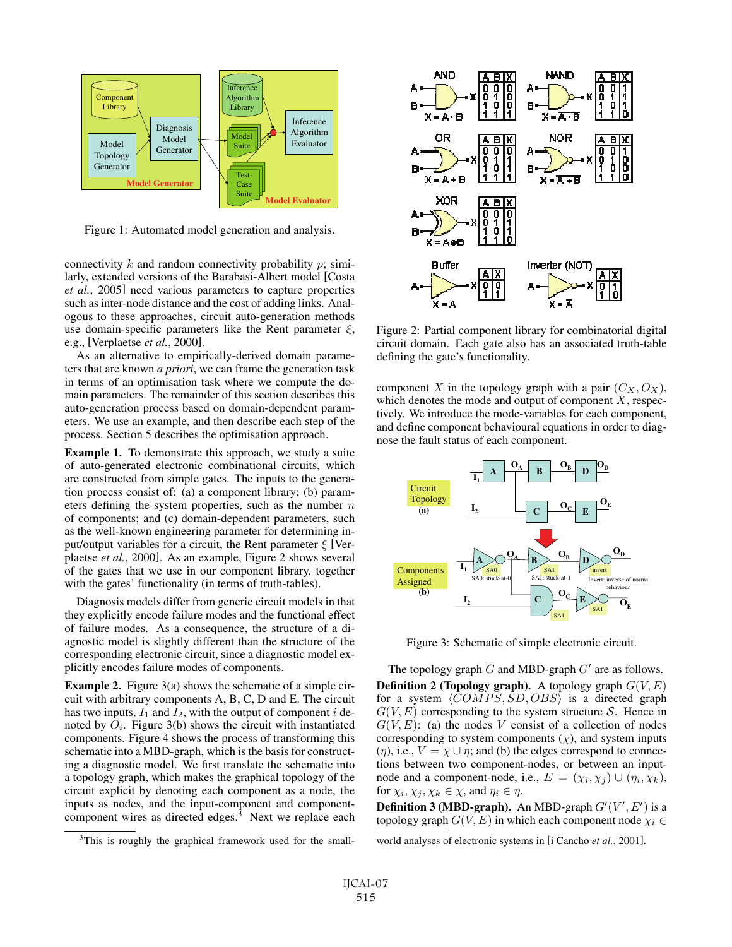

Figure 1: Automated model generation and analysis.

connectivity  $k$  and random connectivity probability  $p$ ; similarly, extended versions of the Barabasi-Albert model [Costa *et al.*, 2005] need various parameters to capture properties such as inter-node distance and the cost of adding links. Analogous to these approaches, circuit auto-generation methods use domain-specific parameters like the Rent parameter  $\xi$ , e.g., [Verplaetse *et al.*, 2000].

As an alternative to empirically-derived domain parameters that are known *a priori*, we can frame the generation task in terms of an optimisation task where we compute the domain parameters. The remainder of this section describes this auto-generation process based on domain-dependent parameters. We use an example, and then describe each step of the process. Section 5 describes the optimisation approach.

**Example 1.** To demonstrate this approach, we study a suite of auto-generated electronic combinational circuits, which are constructed from simple gates. The inputs to the generation process consist of: (a) a component library; (b) parameters defining the system properties, such as the number  $n$ of components; and (c) domain-dependent parameters, such as the well-known engineering parameter for determining input/output variables for a circuit, the Rent parameter  $\xi$  [Verplaetse *et al.*, 2000]. As an example, Figure 2 shows several of the gates that we use in our component library, together with the gates' functionality (in terms of truth-tables).

Diagnosis models differ from generic circuit models in that they explicitly encode failure modes and the functional effect of failure modes. As a consequence, the structure of a diagnostic model is slightly different than the structure of the corresponding electronic circuit, since a diagnostic model explicitly encodes failure modes of components.

**Example 2.** Figure 3(a) shows the schematic of a simple circuit with arbitrary components A, B, C, D and E. The circuit has two inputs,  $I_1$  and  $I_2$ , with the output of component i denoted by  $O_i$ . Figure 3(b) shows the circuit with instantiated components. Figure 4 shows the process of transforming this schematic into a MBD-graph, which is the basis for constructing a diagnostic model. We first translate the schematic into a topology graph, which makes the graphical topology of the circuit explicit by denoting each component as a node, the inputs as nodes, and the input-component and componentcomponent wires as directed edges. $3$  Next we replace each



Figure 2: Partial component library for combinatorial digital circuit domain. Each gate also has an associated truth-table defining the gate's functionality.

component X in the topology graph with a pair  $(C_X, O_X)$ , which denotes the mode and output of component  $X$ , respectively. We introduce the mode-variables for each component, and define component behavioural equations in order to diagnose the fault status of each component.



Figure 3: Schematic of simple electronic circuit.

The topology graph  $G$  and MBD-graph  $G'$  are as follows. **Definition 2 (Topology graph).** A topology graph  $G(V, E)$ for a system  $\langle COMPS, SD, OBS \rangle$  is a directed graph  $G(V, E)$  corresponding to the system structure S. Hence in  $G(V, E)$ : (a) the nodes V consist of a collection of nodes corresponding to system components  $(\chi)$ , and system inputs  $(\eta)$ , i.e.,  $V = \chi \cup \eta$ ; and (b) the edges correspond to connections between two component-nodes, or between an inputnode and a component-node, i.e.,  $E = (\chi_i, \chi_j) \cup (\eta_i, \chi_k)$ , for  $\chi_i, \chi_j, \chi_k \in \chi$ , and  $\eta_i \in \eta$ .

**Definition 3 (MBD-graph).** An MBD-graph  $G'(V', E')$  is a topology graph  $G'(V, E)$  in which each component node  $\chi \in$ topology graph  $G(V, E)$  in which each component node  $\chi_i \in$ 

<sup>&</sup>lt;sup>3</sup>This is roughly the graphical framework used for the small-

world analyses of electronic systems in [i Cancho *et al.*, 2001].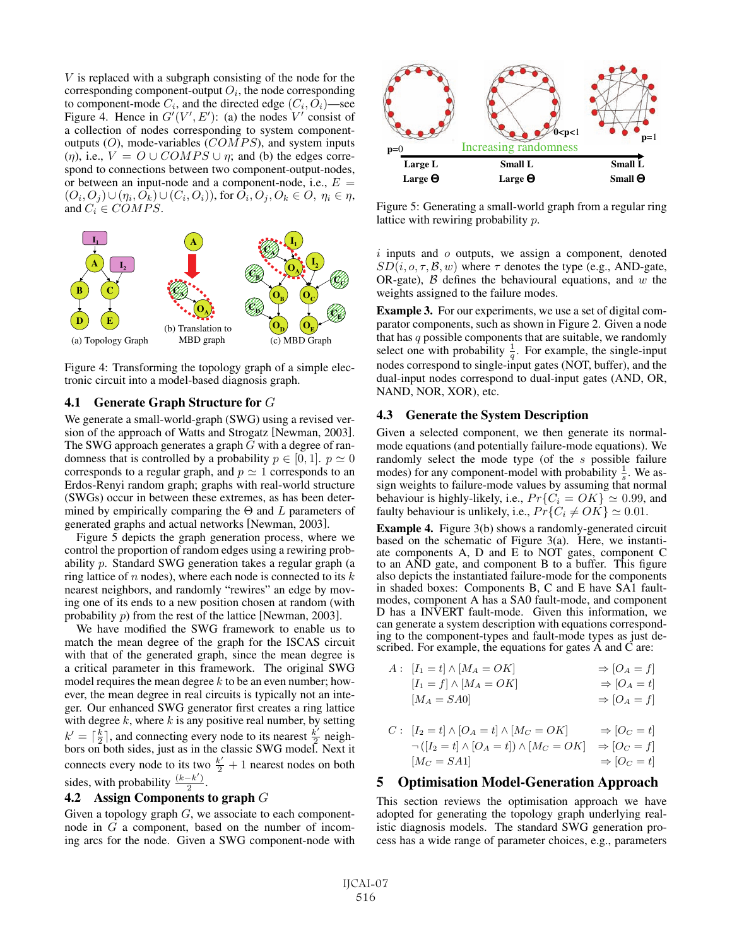V is replaced with a subgraph consisting of the node for the corresponding component-output  $O_i$ , the node corresponding to component-mode  $C_i$ , and the directed edge  $(C_i, O_i)$ —see Figure 4. Hence in  $G'(V', E')$ : (a) the nodes V' consist of a collection of nodes corresponding to system componenta collection of nodes corresponding to system componentoutputs  $(O)$ , mode-variables  $(COMPS)$ , and system inputs (*η*), i.e.,  $V = O \cup COMPS \cup \eta$ ; and (b) the edges correspond to connections between two component-output-nodes, or between an input-node and a component-node, i.e.,  $E =$  $(O_i, O_j) \cup (\eta_i, O_k) \cup (C_i, O_i)$ , for  $O_i, O_j, O_k \in O, \eta_i \in \eta$ , and  $C_i \in COMPS$ .



Figure 4: Transforming the topology graph of a simple electronic circuit into a model-based diagnosis graph.

#### **4.1 Generate Graph Structure for** G

We generate a small-world-graph (SWG) using a revised version of the approach of Watts and Strogatz [Newman, 2003]. The SWG approach generates a graph  $G$  with a degree of randomness that is controlled by a probability  $p \in [0, 1]$ .  $p \simeq 0$ corresponds to a regular graph, and  $p \approx 1$  corresponds to an<br>Erdos-Renvi random graph, and  $p \approx 1$  corresponds to an Erdos-Renyi random graph; graphs with real-world structure (SWGs) occur in between these extremes, as has been determined by empirically comparing the  $\Theta$  and L parameters of generated graphs and actual networks [Newman, 2003].

Figure 5 depicts the graph generation process, where we control the proportion of random edges using a rewiring probability p. Standard SWG generation takes a regular graph (a ring lattice of  $n$  nodes), where each node is connected to its  $k$ nearest neighbors, and randomly "rewires" an edge by moving one of its ends to a new position chosen at random (with probability p) from the rest of the lattice [Newman, 2003].

We have modified the SWG framework to enable us to match the mean degree of the graph for the ISCAS circuit with that of the generated graph, since the mean degree is a critical parameter in this framework. The original SWG model requires the mean degree  $k$  to be an even number; however, the mean degree in real circuits is typically not an integer. Our enhanced SWG generator first creates a ring lattice with degree  $k$ , where  $k$  is any positive real number, by setting  $k' = \lceil \frac{k}{2} \rceil$ , and connecting every node to its nearest  $\frac{k'}{2}$  neighbors on both sides just as in the classic SWG model. Next it bors on both sides, just as in the classic SWG model. Next it connects every node to its two  $\frac{k'}{2} + 1$  nearest nodes on both sides, with probability  $\frac{(k-k')}{2}$ .

### **4.2 Assign Components to graph** G

Given a topology graph  $G$ , we associate to each componentnode in G a component, based on the number of incoming arcs for the node. Given a SWG component-node with



Figure 5: Generating a small-world graph from a regular ring lattice with rewiring probability p.

 $i$  inputs and  $o$  outputs, we assign a component, denoted  $SD(i, o, \tau, B, w)$  where  $\tau$  denotes the type (e.g., AND-gate, OR-gate),  $\beta$  defines the behavioural equations, and w the weights assigned to the failure modes.

**Example 3.** For our experiments, we use a set of digital comparator components, such as shown in Figure 2. Given a node that has  $q$  possible components that are suitable, we randomly select one with probability  $\frac{1}{q}$ . For example, the single-input nodes correspond to single-input gates (NOT, buffer), and the dual-input nodes correspond to dual-input gates (AND, OR, NAND, NOR, XOR), etc.

#### **4.3 Generate the System Description**

Given a selected component, we then generate its normalmode equations (and potentially failure-mode equations). We randomly select the mode type (of the s possible failure modes) for any component-model with probability  $\frac{1}{s}$ . We assign weights to failure-mode values by assuming that normal behaviour is highly-likely, i.e.,  $Pr\{C_i = OK\} \simeq 0.99$ , and faulty behaviour is unlikely i.e.  $Pr\{C_i \neq OK\} \simeq 0.01$ faulty behaviour is unlikely, i.e.,  $Pr\{C_i \neq OK\} \approx 0.01$ .<br>Example 4. Figure 2(b) sharps a replace to a constant sin

**Example 4.** Figure 3(b) shows a randomly-generated circuit based on the schematic of Figure 3(a). Here, we instantiate components A, D and E to NOT gates, component C to an AND gate, and component B to a buffer. This figure also depicts the instantiated failure-mode for the components in shaded boxes: Components B, C and E have SA1 faultmodes, component A has a SA0 fault-mode, and component D has a INVERT fault-mode. Given this information, we can generate a system description with equations corresponding to the component-types and fault-mode types as just described. For example, the equations for gates A and C are:

$$
A: [I_1 = t] \wedge [M_A = OK] \Rightarrow [O_A = f]
$$
  
\n
$$
[I_1 = f] \wedge [M_A = OK] \Rightarrow [O_A = t]
$$
  
\n
$$
[M_A = SA0] \Rightarrow [O_A = f]
$$

$$
C: [I_2 = t] \wedge [O_A = t] \wedge [M_C = OK] \Rightarrow [O_C = t]
$$
  
\n
$$
\neg ([I_2 = t] \wedge [O_A = t]) \wedge [M_C = OK] \Rightarrow [O_C = f]
$$
  
\n
$$
[M_C = SA1] \Rightarrow [O_C = t]
$$

## **5 Optimisation Model-Generation Approach**

This section reviews the optimisation approach we have adopted for generating the topology graph underlying realistic diagnosis models. The standard SWG generation process has a wide range of parameter choices, e.g., parameters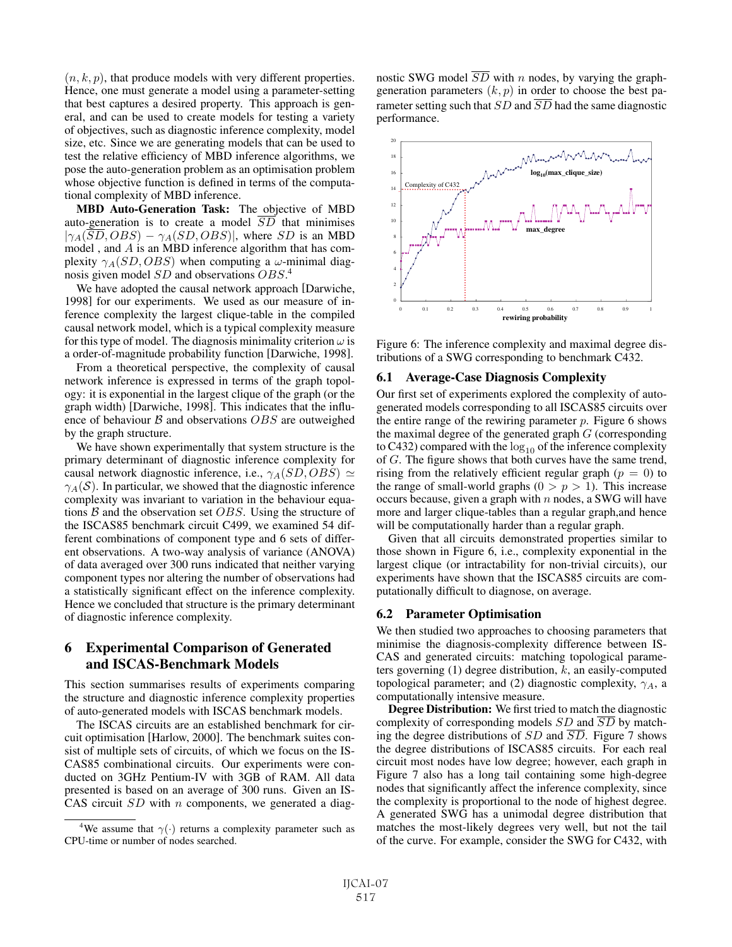$(n, k, p)$ , that produce models with very different properties. Hence, one must generate a model using a parameter-setting that best captures a desired property. This approach is general, and can be used to create models for testing a variety of objectives, such as diagnostic inference complexity, model size, etc. Since we are generating models that can be used to test the relative efficiency of MBD inference algorithms, we pose the auto-generation problem as an optimisation problem whose objective function is defined in terms of the computational complexity of MBD inference.

**MBD Auto-Generation Task:** The objective of MBD auto-generation is to create a model  $\overline{SD}$  that minimises  $|\gamma_A(\overline{SD}, OBS) - \gamma_A(SD, OBS)|$ , where SD is an MBD model , and A is an MBD inference algorithm that has complexity  $\gamma_A(SD, OBS)$  when computing a  $\omega$ -minimal diagnosis given model  $SD$  and observations  $OBS^4$ .

We have adopted the causal network approach [Darwiche, 1998] for our experiments. We used as our measure of inference complexity the largest clique-table in the compiled causal network model, which is a typical complexity measure for this type of model. The diagnosis minimality criterion  $\omega$  is a order-of-magnitude probability function [Darwiche, 1998].

From a theoretical perspective, the complexity of causal network inference is expressed in terms of the graph topology: it is exponential in the largest clique of the graph (or the graph width) [Darwiche, 1998]. This indicates that the influence of behaviour  $\beta$  and observations  $OBS$  are outweighed by the graph structure.

We have shown experimentally that system structure is the primary determinant of diagnostic inference complexity for causal network diagnostic inference, i.e.,  $\gamma_A(SD, OBS) \simeq \gamma_A(S)$ . In particular we showed that the diagnostic inference  $\gamma_A(\mathcal{S})$ . In particular, we showed that the diagnostic inference complexity was invariant to variation in the behaviour equations  $B$  and the observation set  $OBS$ . Using the structure of the ISCAS85 benchmark circuit C499, we examined 54 different combinations of component type and 6 sets of different observations. A two-way analysis of variance (ANOVA) of data averaged over 300 runs indicated that neither varying component types nor altering the number of observations had a statistically significant effect on the inference complexity. Hence we concluded that structure is the primary determinant of diagnostic inference complexity.

# **6 Experimental Comparison of Generated and ISCAS-Benchmark Models**

This section summarises results of experiments comparing the structure and diagnostic inference complexity properties of auto-generated models with ISCAS benchmark models.

The ISCAS circuits are an established benchmark for circuit optimisation [Harlow, 2000]. The benchmark suites consist of multiple sets of circuits, of which we focus on the IS-CAS85 combinational circuits. Our experiments were conducted on 3GHz Pentium-IV with 3GB of RAM. All data presented is based on an average of 300 runs. Given an IS-CAS circuit  $SD$  with n components, we generated a diagnostic SWG model  $\overline{SD}$  with n nodes, by varying the graphgeneration parameters  $(k, p)$  in order to choose the best parameter setting such that  $SD$  and  $\overline{SD}$  had the same diagnostic performance.



Figure 6: The inference complexity and maximal degree distributions of a SWG corresponding to benchmark C432.

#### **6.1 Average-Case Diagnosis Complexity**

Our first set of experiments explored the complexity of autogenerated models corresponding to all ISCAS85 circuits over the entire range of the rewiring parameter  $p$ . Figure 6 shows the maximal degree of the generated graph  $G$  (corresponding to C432) compared with the  $log_{10}$  of the inference complexity of G. The figure shows that both curves have the same trend, rising from the relatively efficient regular graph ( $p = 0$ ) to the range of small-world graphs  $(0 > p > 1)$ . This increase occurs because, given a graph with  $n$  nodes, a SWG will have more and larger clique-tables than a regular graph,and hence will be computationally harder than a regular graph.

Given that all circuits demonstrated properties similar to those shown in Figure 6, i.e., complexity exponential in the largest clique (or intractability for non-trivial circuits), our experiments have shown that the ISCAS85 circuits are computationally difficult to diagnose, on average.

#### **6.2 Parameter Optimisation**

We then studied two approaches to choosing parameters that minimise the diagnosis-complexity difference between IS-CAS and generated circuits: matching topological parameters governing  $(1)$  degree distribution,  $k$ , an easily-computed topological parameter; and (2) diagnostic complexity,  $\gamma_A$ , a computationally intensive measure.

**Degree Distribution:** We first tried to match the diagnostic complexity of corresponding models  $SD$  and  $\overline{SD}$  by matching the degree distributions of  $SD$  and  $\overline{SD}$ . Figure 7 shows the degree distributions of ISCAS85 circuits. For each real circuit most nodes have low degree; however, each graph in Figure 7 also has a long tail containing some high-degree nodes that significantly affect the inference complexity, since the complexity is proportional to the node of highest degree. A generated SWG has a unimodal degree distribution that matches the most-likely degrees very well, but not the tail of the curve. For example, consider the SWG for C432, with

<sup>&</sup>lt;sup>4</sup>We assume that  $\gamma(\cdot)$  returns a complexity parameter such as CPU-time or number of nodes searched.